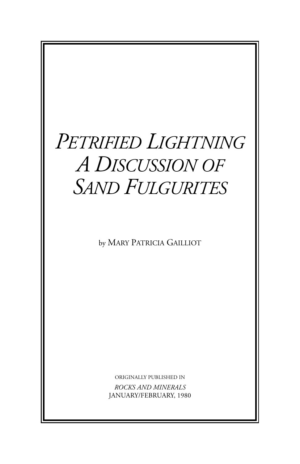# *PETRIFIED LIGHTNING A DISCUSSION OF SAND FULGURITES*

by MARY PATRICIA GAILLIOT

ORIGINALLY PUBLISHED IN

*ROCKS AND MINERALS* JANUARY/FEBRUARY, 1980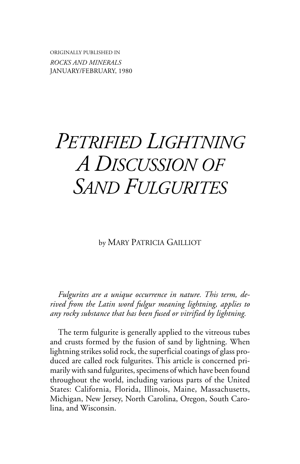ORIGINALLY PUBLISHED IN *ROCKS AND MINERALS* JANUARY/FEBRUARY, 1980

# *PETRIFIED LIGHTNING A DISCUSSION OF SAND FULGURITES*

by MARY PATRICIA GAILLIOT

*Fulgurites are a unique occurrence in nature. This term, derived from the Latin word fulgur meaning lightning, applies to any rocky substance that has been fused or vitrified by lightning.*

The term fulgurite is generally applied to the vitreous tubes and crusts formed by the fusion of sand by lightning. When lightning strikes solid rock, the superficial coatings of glass produced are called rock fulgurites. This article is concerned primarily with sand fulgurites, specimens of which have been found throughout the world, including various parts of the United States: California, Florida, Illinois, Maine, Massachusetts, Michigan, New Jersey, North Carolina, Oregon, South Carolina, and Wisconsin.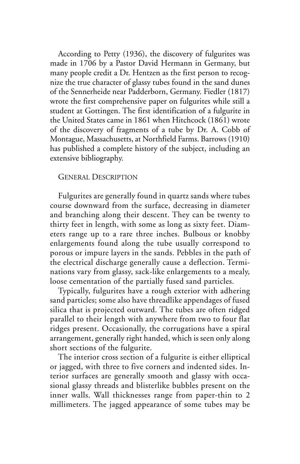According to Petty (1936), the discovery of fulgurites was made in 1706 by a Pastor David Hermann in Germany, but many people credit a Dr. Hentzen as the first person to recognize the true character of glassy tubes found in the sand dunes of the Sennerheide near Padderborn, Germany. Fiedler (1817) wrote the first comprehensive paper on fulgurites while still a student at Gottingen. The first identification of a fulgurite in the United States came in 1861 when Hitchcock (1861) wrote of the discovery of fragments of a tube by Dr. A. Cobb of Montague, Massachusetts, at Northfield Farms. Barrows (1910) has published a complete history of the subject, including an extensive bibliography.

#### GENERAL DESCRIPTION

Fulgurites are generally found in quartz sands where tubes course downward from the surface, decreasing in diameter and branching along their descent. They can be twenty to thirty feet in length, with some as long as sixty feet. Diameters range up to a rare three inches. Bulbous or knobby enlargements found along the tube usually correspond to porous or impure layers in the sands. Pebbles in the path of the electrical discharge generally cause a deflection. Terminations vary from glassy, sack-like enlargements to a mealy, loose cementation of the partially fused sand particles.

Typically, fulgurites have a rough exterior with adhering sand particles; some also have threadlike appendages of fused silica that is projected outward. The tubes are often ridged parallel to their length with anywhere from two to four flat ridges present. Occasionally, the corrugations have a spiral arrangement, generally right handed, which is seen only along short sections of the fulgurite.

The interior cross section of a fulgurite is either elliptical or jagged, with three to five corners and indented sides. Interior surfaces are generally smooth and glassy with occasional glassy threads and blisterlike bubbles present on the inner walls. Wall thicknesses range from paper-thin to 2 millimeters. The jagged appearance of some tubes may be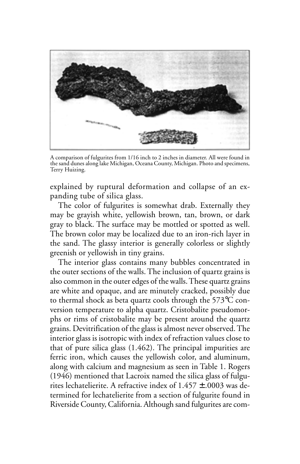

A comparison of fulgurites from 1/16 inch to 2 inches in diameter. All were found in the sand dunes along lake Michigan, Oceana County, Michigan. Photo and specimens, Terry Huizing.

explained by ruptural deformation and collapse of an expanding tube of silica glass.

The color of fulgurites is somewhat drab. Externally they may be grayish white, yellowish brown, tan, brown, or dark gray to black. The surface may be mottled or spotted as well. The brown color may be localized due to an iron-rich layer in the sand. The glassy interior is generally colorless or slightly greenish or yellowish in tiny grains.

The interior glass contains many bubbles concentrated in the outer sections of the walls. The inclusion of quartz grains is also common in the outer edges of the walls. These quartz grains are white and opaque, and are minutely cracked, possibly due to thermal shock as beta quartz cools through the 573°C conversion temperature to alpha quartz. Cristobalite pseudomorphs or rims of cristobalite may be present around the quartz grains. Devitrification of the glass is almost never observed. The interior glass is isotropic with index of refraction values close to that of pure silica glass (1.462). The principal impurities are ferric iron, which causes the yellowish color, and aluminum, along with calcium and magnesium as seen in Table 1. Rogers (1946) mentioned that Lacroix named the silica glass of fulgurites lechatelierite. A refractive index of  $1.457 \pm .0003$  was determined for lechatelierite from a section of fulgurite found in Riverside County, California. Although sand fulgurites are com-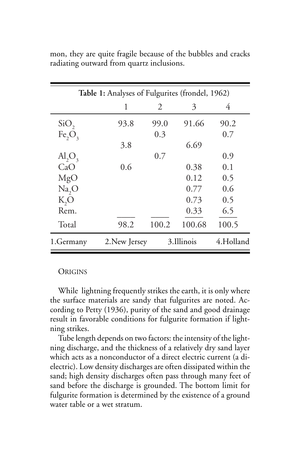| Table 1: Analyses of Fulgurites (frondel, 1962) |               |               |        |           |
|-------------------------------------------------|---------------|---------------|--------|-----------|
|                                                 | 1             | $\mathcal{L}$ | 3      | 4         |
| SiO <sub>2</sub>                                | 93.8          | 99.0          | 91.66  | 90.2      |
| Fe <sub>2</sub> O <sub>3</sub>                  |               | 0.3           |        | 0.7       |
|                                                 | 3.8           |               | 6.69   |           |
| $\mathrm{Al}_2\mathrm{O}_3$                     |               | 0.7           |        | 0.9       |
| CaO                                             | 0.6           |               | 0.38   | 0.1       |
| MgO                                             |               |               | 0.12   | 0.5       |
| Na, O                                           |               |               | 0.77   | 0.6       |
| K,O                                             |               |               | 0.73   | 0.5       |
| Rem.                                            |               |               | 0.33   | 6.5       |
| Total                                           | 98.2          | 100.2         | 100.68 | 100.5     |
| 1.Germany                                       | 2. New Jersey | 3.Illinois    |        | 4.Holland |

mon, they are quite fragile because of the bubbles and cracks radiating outward from quartz inclusions.

### **ORIGINS**

While lightning frequently strikes the earth, it is only where the surface materials are sandy that fulgurites are noted. According to Petty (1936), purity of the sand and good drainage result in favorable conditions for fulgurite formation if lightning strikes.

Tube length depends on two factors: the intensity of the lightning discharge, and the thickness of a relatively dry sand layer which acts as a nonconductor of a direct electric current (a dielectric). Low density discharges are often dissipated within the sand; high density discharges often pass through many feet of sand before the discharge is grounded. The bottom limit for fulgurite formation is determined by the existence of a ground water table or a wet stratum.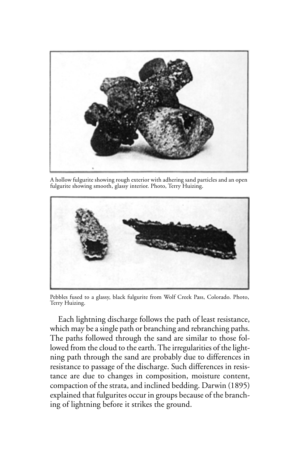

A hollow fulgurite showing rough exterior with adhering sand particles and an open fulgurite showing smooth, glassy interior. Photo, Terry Huizing.



Pebbles fused to a glassy, black fulgurite from Wolf Creek Pass, Colorado. Photo, Terry Huizing.

Each lightning discharge follows the path of least resistance, which may be a single path or branching and rebranching paths. The paths followed through the sand are similar to those followed from the cloud to the earth. The irregularities of the lightning path through the sand are probably due to differences in resistance to passage of the discharge. Such differences in resistance are due to changes in composition, moisture content, compaction of the strata, and inclined bedding. Darwin (1895) explained that fulgurites occur in groups because of the branching of lightning before it strikes the ground.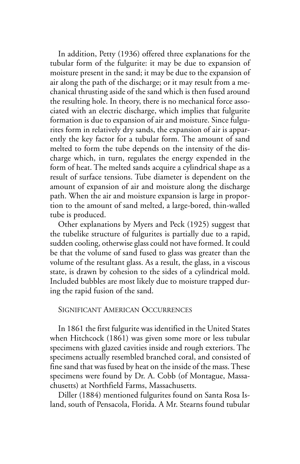In addition, Petty (1936) offered three explanations for the tubular form of the fulgurite: it may be due to expansion of moisture present in the sand; it may be due to the expansion of air along the path of the discharge; or it may result from a mechanical thrusting aside of the sand which is then fused around the resulting hole. In theory, there is no mechanical force associated with an electric discharge, which implies that fulgurite formation is due to expansion of air and moisture. Since fulgurites form in relatively dry sands, the expansion of air is apparently the key factor for a tubular form. The amount of sand melted to form the tube depends on the intensity of the discharge which, in turn, regulates the energy expended in the form of heat. The melted sands acquire a cylindrical shape as a result of surface tensions. Tube diameter is dependent on the amount of expansion of air and moisture along the discharge path. When the air and moisture expansion is large in proportion to the amount of sand melted, a large-bored, thin-walled tube is produced.

Other explanations by Myers and Peck (1925) suggest that the tubelike structure of fulgurites is partially due to a rapid, sudden cooling, otherwise glass could not have formed. It could be that the volume of sand fused to glass was greater than the volume of the resultant glass. As a result, the glass, in a viscous state, is drawn by cohesion to the sides of a cylindrical mold. Included bubbles are most likely due to moisture trapped during the rapid fusion of the sand.

#### SIGNIFICANT AMERICAN OCCURRENCES

In 1861 the first fulgurite was identified in the United States when Hitchcock (1861) was given some more or less tubular specimens with glazed cavities inside and rough exteriors. The specimens actually resembled branched coral, and consisted of fine sand that was fused by heat on the inside of the mass. These specimens were found by Dr. A. Cobb (of Montague, Massachusetts) at Northfield Farms, Massachusetts.

Diller (1884) mentioned fulgurites found on Santa Rosa Island, south of Pensacola, Florida. A Mr. Stearns found tubular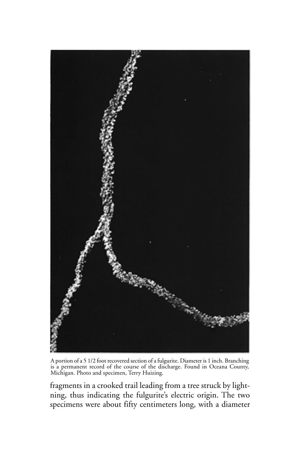

A portion of a 5 1/2 foot recovered section of a fulgurite. Diameter is 1 inch. Branching is a permanent record of the course of the discharge. Found in Oceana County, Michigan. Photo and specimen, Terry Huizing.

fragments in a crooked trail leading from a tree struck by lightning, thus indicating the fulgurite's electric origin. The two specimens were about fifty centimeters long, with a diameter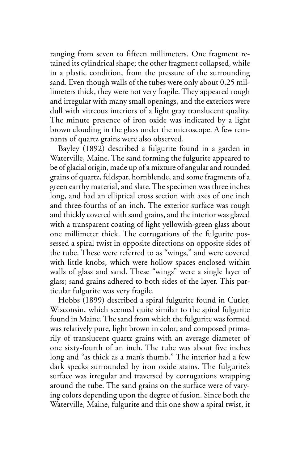ranging from seven to fifteen millimeters. One fragment retained its cylindrical shape; the other fragment collapsed, while in a plastic condition, from the pressure of the surrounding sand. Even though walls of the tubes were only about 0.25 millimeters thick, they were not very fragile. They appeared rough and irregular with many small openings, and the exteriors were dull with vitreous interiors of a light gray translucent quality. The minute presence of iron oxide was indicated by a light brown clouding in the glass under the microscope. A few remnants of quartz grains were also observed.

Bayley (1892) described a fulgurite found in a garden in Waterville, Maine. The sand forming the fulgurite appeared to be of glacial origin, made up of a mixture of angular and rounded grains of quartz, feldspar, hornblende, and some fragments of a green earthy material, and slate. The specimen was three inches long, and had an elliptical cross section with axes of one inch and three-fourths of an inch. The exterior surface was rough and thickly covered with sand grains, and the interior was glazed with a transparent coating of light yellowish-green glass about one millimeter thick. The corrugations of the fulgurite possessed a spiral twist in opposite directions on opposite sides of the tube. These were referred to as "wings," and were covered with little knobs, which were hollow spaces enclosed within walls of glass and sand. These "wings" were a single layer of glass; sand grains adhered to both sides of the layer. This particular fulgurite was very fragile.

Hobbs (1899) described a spiral fulgurite found in Cutler, Wisconsin, which seemed quite similar to the spiral fulgurite found in Maine. The sand from which the fulgurite was formed was relatively pure, light brown in color, and composed primarily of translucent quartz grains with an average diameter of one sixty-fourth of an inch. The tube was about five inches long and "as thick as a man's thumb." The interior had a few dark specks surrounded by iron oxide stains. The fulgurite's surface was irregular and traversed by corrugations wrapping around the tube. The sand grains on the surface were of varying colors depending upon the degree of fusion. Since both the Waterville, Maine, fulgurite and this one show a spiral twist, it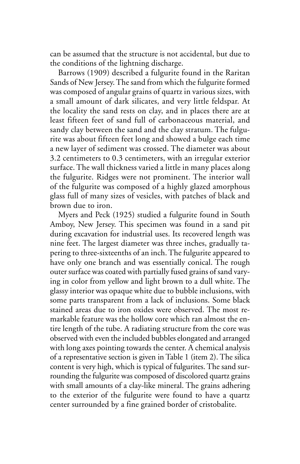can be assumed that the structure is not accidental, but due to the conditions of the lightning discharge.

Barrows (1909) described a fulgurite found in the Raritan Sands of New Jersey. The sand from which the fulgurite formed was composed of angular grains of quartz in various sizes, with a small amount of dark silicates, and very little feldspar. At the locality the sand rests on clay, and in places there are at least fifteen feet of sand full of carbonaceous material, and sandy clay between the sand and the clay stratum. The fulgurite was about fifteen feet long and showed a bulge each time a new layer of sediment was crossed. The diameter was about 3.2 centimeters to 0.3 centimeters, with an irregular exterior surface. The wall thickness varied a little in many places along the fulgurite. Ridges were not prominent. The interior wall of the fulgurite was composed of a highly glazed amorphous glass full of many sizes of vesicles, with patches of black and brown due to iron.

Myers and Peck (1925) studied a fulgurite found in South Amboy, New Jersey. This specimen was found in a sand pit during excavation for industrial uses. Its recovered length was nine feet. The largest diameter was three inches, gradually tapering to three-sixteenths of an inch. The fulgurite appeared to have only one branch and was essentially conical. The rough outer surface was coated with partially fused grains of sand varying in color from yellow and light brown to a dull white. The glassy interior was opaque white due to bubble inclusions, with some parts transparent from a lack of inclusions. Some black stained areas due to iron oxides were observed. The most remarkable feature was the hollow core which ran almost the entire length of the tube. A radiating structure from the core was observed with even the included bubbles elongated and arranged with long axes pointing towards the center. A chemical analysis of a representative section is given in Table 1 (item 2). The silica content is very high, which is typical of fulgurites. The sand surrounding the fulgurite was composed of discolored quartz grains with small amounts of a clay-like mineral. The grains adhering to the exterior of the fulgurite were found to have a quartz center surrounded by a fine grained border of cristobalite.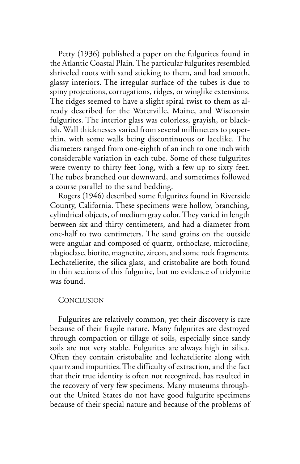Petty (1936) published a paper on the fulgurites found in the Atlantic Coastal Plain. The particular fulgurites resembled shriveled roots with sand sticking to them, and had smooth, glassy interiors. The irregular surface of the tubes is due to spiny projections, corrugations, ridges, or winglike extensions. The ridges seemed to have a slight spiral twist to them as already described for the Waterville, Maine, and Wisconsin fulgurites. The interior glass was colorless, grayish, or blackish. Wall thicknesses varied from several millimeters to paperthin, with some walls being discontinuous or lacelike. The diameters ranged from one-eighth of an inch to one inch with considerable variation in each tube. Some of these fulgurites were twenty to thirty feet long, with a few up to sixty feet. The tubes branched out downward, and sometimes followed a course parallel to the sand bedding.

Rogers (1946) described some fulgurites found in Riverside County, California. These specimens were hollow, branching, cylindrical objects, of medium gray color. They varied in length between six and thirty centimeters, and had a diameter from one-half to two centimeters. The sand grains on the outside were angular and composed of quartz, orthoclase, microcline, plagioclase, biotite, magnetite, zircon, and some rock fragments. Lechatelierite, the silica glass, and cristobalite are both found in thin sections of this fulgurite, but no evidence of tridymite was found.

#### **CONCLUSION**

Fulgurites are relatively common, yet their discovery is rare because of their fragile nature. Many fulgurites are destroyed through compaction or tillage of soils, especially since sandy soils are not very stable. Fulgurites are always high in silica. Often they contain cristobalite and lechatelierite along with quartz and impurities. The difficulty of extraction, and the fact that their true identity is often not recognized, has resulted in the recovery of very few specimens. Many museums throughout the United States do not have good fulgurite specimens because of their special nature and because of the problems of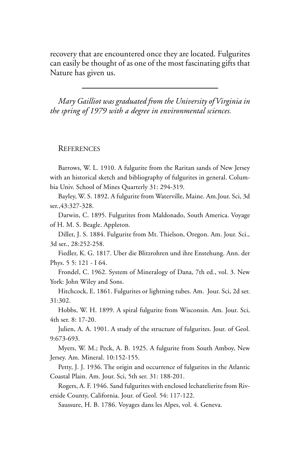recovery that are encountered once they are located. Fulgurites can easily be thought of as one of the most fascinating gifts that Nature has given us.

*Mary Gailliot was graduated from the University of Virginia in the spring of 1979 with a degree in environmental sciences.*

#### **REFERENCES**

Barrows, W. L. 1910. A fulgurite from the Raritan sands of New Jersey with an historical sketch and bibliography of fulgurites in general. Columbia Univ. School of Mines Quarterly 31: 294-319.

Bayley, W. S. 1892. A fulgurite from Waterville, Maine. Am.Jour. Sci, 3d ser.,43:327-328.

Darwin, C. 1895. Fulgurites from Maldonado, South America. Voyage of H. M. S. Beagle. Appleton.

Diller, J. S. 1884. Fulgurite from Mt. Thielson, Oregon. Am. Jour. Sci., 3d ser., 28:252-258.

Fiedler, K. G. 1817. Uber die Blitzrohren und ihre Enstehung. Ann. der Phys. 5 5: 121 - I 64.

Frondel, C. 1962. System of Mineralogy of Dana, 7th ed., vol. 3. New York: John Wiley and Sons.

Hitchcock, E. 1861. Fulgurites or lightning tubes. Am. Jour. Sci, 2d ser. 31:302.

Hobbs, W. H. 1899. A spiral fulgurite from Wisconsin. Am. Jour. Sci, 4th ser. 8: 17-20.

Julien, A. A. 1901. A study of the structure of fulgurites. Jour. of Geol. 9:673-693.

Myers, W. M.; Peck, A. B. 1925. A fulgurite from South Amboy, New Jersey. Am. Mineral. 10:152-155.

Petty, J. J. 1936. The origin and occurrence of fulgurites in the Atlantic Coastal Plain. Am. Jour. Sci, 5th ser. 31: 188-201.

Rogers, A. F. 1946. Sand fulgurites with enclosed lechatelierite from Riverside County, California. Jour. of Geol. 54: 117-122.

Saussure, H. B. 1786. Voyages dans les Alpes, vol. 4. Geneva.